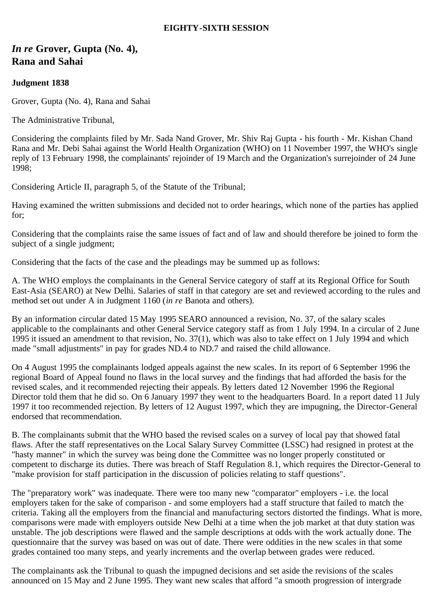## **EIGHTY-SIXTH SESSION**

# *In re* **Grover, Gupta (No. 4), Rana and Sahai**

# **Judgment 1838**

Grover, Gupta (No. 4), Rana and Sahai

The Administrative Tribunal,

Considering the complaints filed by Mr. Sada Nand Grover, Mr. Shiv Raj Gupta - his fourth - Mr. Kishan Chand Rana and Mr. Debi Sahai against the World Health Organization (WHO) on 11 November 1997, the WHO's single reply of 13 February 1998, the complainants' rejoinder of 19 March and the Organization's surrejoinder of 24 June 1998;

Considering Article II, paragraph 5, of the Statute of the Tribunal;

Having examined the written submissions and decided not to order hearings, which none of the parties has applied for;

Considering that the complaints raise the same issues of fact and of law and should therefore be joined to form the subject of a single judgment;

Considering that the facts of the case and the pleadings may be summed up as follows:

A. The WHO employs the complainants in the General Service category of staff at its Regional Office for South East-Asia (SEARO) at New Delhi. Salaries of staff in that category are set and reviewed according to the rules and method set out under A in Judgment 1160 (*in re* Banota and others).

By an information circular dated 15 May 1995 SEARO announced a revision, No. 37, of the salary scales applicable to the complainants and other General Service category staff as from 1 July 1994. In a circular of 2 June 1995 it issued an amendment to that revision, No. 37(1), which was also to take effect on 1 July 1994 and which made "small adjustments" in pay for grades ND.4 to ND.7 and raised the child allowance.

On 4 August 1995 the complainants lodged appeals against the new scales. In its report of 6 September 1996 the regional Board of Appeal found no flaws in the local survey and the findings that had afforded the basis for the revised scales, and it recommended rejecting their appeals. By letters dated 12 November 1996 the Regional Director told them that he did so. On 6 January 1997 they went to the headquarters Board. In a report dated 11 July 1997 it too recommended rejection. By letters of 12 August 1997, which they are impugning, the Director-General endorsed that recommendation.

B. The complainants submit that the WHO based the revised scales on a survey of local pay that showed fatal flaws. After the staff representatives on the Local Salary Survey Committee (LSSC) had resigned in protest at the "hasty manner" in which the survey was being done the Committee was no longer properly constituted or competent to discharge its duties. There was breach of Staff Regulation 8.1, which requires the Director-General to "make provision for staff participation in the discussion of policies relating to staff questions".

The "preparatory work" was inadequate. There were too many new "comparator" employers - i.e. the local employers taken for the sake of comparison - and some employers had a staff structure that failed to match the criteria. Taking all the employers from the financial and manufacturing sectors distorted the findings. What is more, comparisons were made with employers outside New Delhi at a time when the job market at that duty station was unstable. The job descriptions were flawed and the sample descriptions at odds with the work actually done. The questionnaire that the survey was based on was out of date. There were oddities in the new scales in that some grades contained too many steps, and yearly increments and the overlap between grades were reduced.

The complainants ask the Tribunal to quash the impugned decisions and set aside the revisions of the scales announced on 15 May and 2 June 1995. They want new scales that afford "a smooth progression of intergrade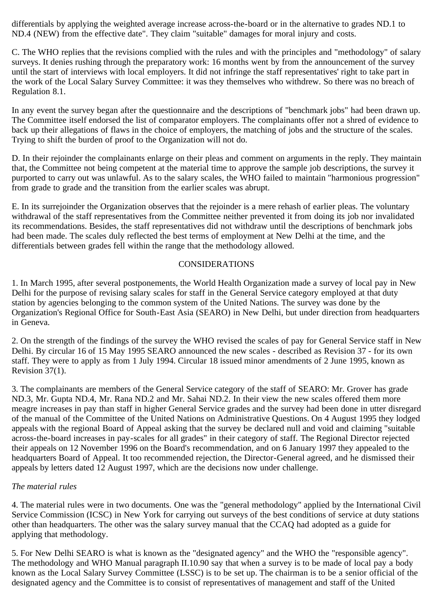differentials by applying the weighted average increase across-the-board or in the alternative to grades ND.1 to ND.4 (NEW) from the effective date". They claim "suitable" damages for moral injury and costs.

C. The WHO replies that the revisions complied with the rules and with the principles and "methodology" of salary surveys. It denies rushing through the preparatory work: 16 months went by from the announcement of the survey until the start of interviews with local employers. It did not infringe the staff representatives' right to take part in the work of the Local Salary Survey Committee: it was they themselves who withdrew. So there was no breach of Regulation 8.1.

In any event the survey began after the questionnaire and the descriptions of "benchmark jobs" had been drawn up. The Committee itself endorsed the list of comparator employers. The complainants offer not a shred of evidence to back up their allegations of flaws in the choice of employers, the matching of jobs and the structure of the scales. Trying to shift the burden of proof to the Organization will not do.

D. In their rejoinder the complainants enlarge on their pleas and comment on arguments in the reply. They maintain that, the Committee not being competent at the material time to approve the sample job descriptions, the survey it purported to carry out was unlawful. As to the salary scales, the WHO failed to maintain "harmonious progression" from grade to grade and the transition from the earlier scales was abrupt.

E. In its surrejoinder the Organization observes that the rejoinder is a mere rehash of earlier pleas. The voluntary withdrawal of the staff representatives from the Committee neither prevented it from doing its job nor invalidated its recommendations. Besides, the staff representatives did not withdraw until the descriptions of benchmark jobs had been made. The scales duly reflected the best terms of employment at New Delhi at the time, and the differentials between grades fell within the range that the methodology allowed.

#### CONSIDERATIONS

1. In March 1995, after several postponements, the World Health Organization made a survey of local pay in New Delhi for the purpose of revising salary scales for staff in the General Service category employed at that duty station by agencies belonging to the common system of the United Nations. The survey was done by the Organization's Regional Office for South-East Asia (SEARO) in New Delhi, but under direction from headquarters in Geneva.

2. On the strength of the findings of the survey the WHO revised the scales of pay for General Service staff in New Delhi. By circular 16 of 15 May 1995 SEARO announced the new scales - described as Revision 37 - for its own staff. They were to apply as from 1 July 1994. Circular 18 issued minor amendments of 2 June 1995, known as Revision 37(1).

3. The complainants are members of the General Service category of the staff of SEARO: Mr. Grover has grade ND.3, Mr. Gupta ND.4, Mr. Rana ND.2 and Mr. Sahai ND.2. In their view the new scales offered them more meagre increases in pay than staff in higher General Service grades and the survey had been done in utter disregard of the manual of the Committee of the United Nations on Administrative Questions. On 4 August 1995 they lodged appeals with the regional Board of Appeal asking that the survey be declared null and void and claiming "suitable across-the-board increases in pay-scales for all grades" in their category of staff. The Regional Director rejected their appeals on 12 November 1996 on the Board's recommendation, and on 6 January 1997 they appealed to the headquarters Board of Appeal. It too recommended rejection, the Director-General agreed, and he dismissed their appeals by letters dated 12 August 1997, which are the decisions now under challenge.

#### *The material rules*

4. The material rules were in two documents. One was the "general methodology" applied by the International Civil Service Commission (ICSC) in New York for carrying out surveys of the best conditions of service at duty stations other than headquarters. The other was the salary survey manual that the CCAQ had adopted as a guide for applying that methodology.

5. For New Delhi SEARO is what is known as the "designated agency" and the WHO the "responsible agency". The methodology and WHO Manual paragraph II.10.90 say that when a survey is to be made of local pay a body known as the Local Salary Survey Committee (LSSC) is to be set up. The chairman is to be a senior official of the designated agency and the Committee is to consist of representatives of management and staff of the United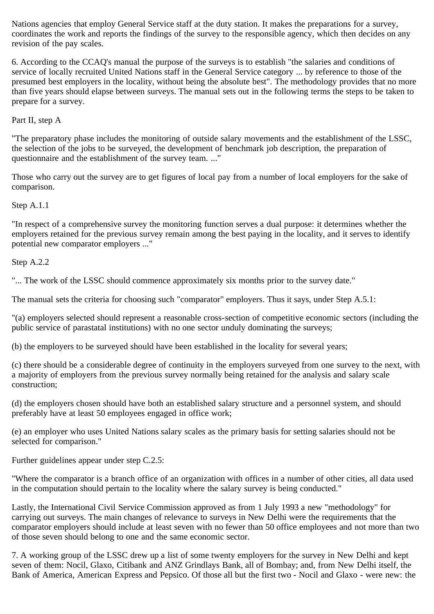Nations agencies that employ General Service staff at the duty station. It makes the preparations for a survey, coordinates the work and reports the findings of the survey to the responsible agency, which then decides on any revision of the pay scales.

6. According to the CCAQ's manual the purpose of the surveys is to establish "the salaries and conditions of service of locally recruited United Nations staff in the General Service category ... by reference to those of the presumed best employers in the locality, without being the absolute best". The methodology provides that no more than five years should elapse between surveys. The manual sets out in the following terms the steps to be taken to prepare for a survey.

Part II, step A

"The preparatory phase includes the monitoring of outside salary movements and the establishment of the LSSC, the selection of the jobs to be surveyed, the development of benchmark job description, the preparation of questionnaire and the establishment of the survey team. ..."

Those who carry out the survey are to get figures of local pay from a number of local employers for the sake of comparison.

Step A.1.1

"In respect of a comprehensive survey the monitoring function serves a dual purpose: it determines whether the employers retained for the previous survey remain among the best paying in the locality, and it serves to identify potential new comparator employers ..."

Step A.2.2

"... The work of the LSSC should commence approximately six months prior to the survey date."

The manual sets the criteria for choosing such "comparator" employers. Thus it says, under Step A.5.1:

"(a) employers selected should represent a reasonable cross-section of competitive economic sectors (including the public service of parastatal institutions) with no one sector unduly dominating the surveys;

(b) the employers to be surveyed should have been established in the locality for several years;

(c) there should be a considerable degree of continuity in the employers surveyed from one survey to the next, with a majority of employers from the previous survey normally being retained for the analysis and salary scale construction;

(d) the employers chosen should have both an established salary structure and a personnel system, and should preferably have at least 50 employees engaged in office work;

(e) an employer who uses United Nations salary scales as the primary basis for setting salaries should not be selected for comparison."

Further guidelines appear under step C.2.5:

"Where the comparator is a branch office of an organization with offices in a number of other cities, all data used in the computation should pertain to the locality where the salary survey is being conducted."

Lastly, the International Civil Service Commission approved as from 1 July 1993 a new "methodology" for carrying out surveys. The main changes of relevance to surveys in New Delhi were the requirements that the comparator employers should include at least seven with no fewer than 50 office employees and not more than two of those seven should belong to one and the same economic sector.

7. A working group of the LSSC drew up a list of some twenty employers for the survey in New Delhi and kept seven of them: Nocil, Glaxo, Citibank and ANZ Grindlays Bank, all of Bombay; and, from New Delhi itself, the Bank of America, American Express and Pepsico. Of those all but the first two - Nocil and Glaxo - were new: the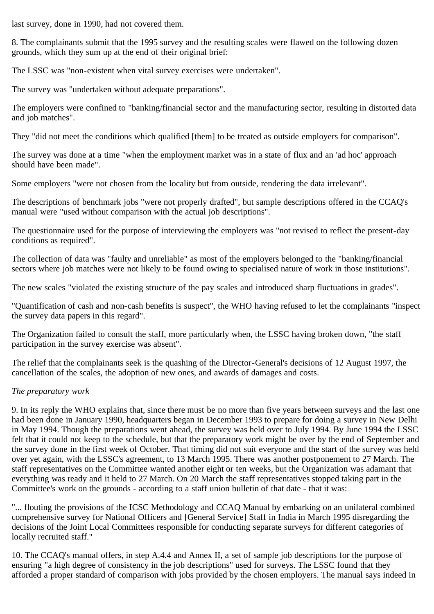last survey, done in 1990, had not covered them.

8. The complainants submit that the 1995 survey and the resulting scales were flawed on the following dozen grounds, which they sum up at the end of their original brief:

The LSSC was "non-existent when vital survey exercises were undertaken".

The survey was "undertaken without adequate preparations".

The employers were confined to "banking/financial sector and the manufacturing sector, resulting in distorted data and job matches".

They "did not meet the conditions which qualified [them] to be treated as outside employers for comparison".

The survey was done at a time "when the employment market was in a state of flux and an 'ad hoc' approach should have been made".

Some employers "were not chosen from the locality but from outside, rendering the data irrelevant".

The descriptions of benchmark jobs "were not properly drafted", but sample descriptions offered in the CCAQ's manual were "used without comparison with the actual job descriptions".

The questionnaire used for the purpose of interviewing the employers was "not revised to reflect the present-day conditions as required".

The collection of data was "faulty and unreliable" as most of the employers belonged to the "banking/financial sectors where job matches were not likely to be found owing to specialised nature of work in those institutions".

The new scales "violated the existing structure of the pay scales and introduced sharp fluctuations in grades".

"Quantification of cash and non-cash benefits is suspect", the WHO having refused to let the complainants "inspect the survey data papers in this regard".

The Organization failed to consult the staff, more particularly when, the LSSC having broken down, "the staff participation in the survey exercise was absent".

The relief that the complainants seek is the quashing of the Director-General's decisions of 12 August 1997, the cancellation of the scales, the adoption of new ones, and awards of damages and costs.

# *The preparatory work*

9. In its reply the WHO explains that, since there must be no more than five years between surveys and the last one had been done in January 1990, headquarters began in December 1993 to prepare for doing a survey in New Delhi in May 1994. Though the preparations went ahead, the survey was held over to July 1994. By June 1994 the LSSC felt that it could not keep to the schedule, but that the preparatory work might be over by the end of September and the survey done in the first week of October. That timing did not suit everyone and the start of the survey was held over yet again, with the LSSC's agreement, to 13 March 1995. There was another postponement to 27 March. The staff representatives on the Committee wanted another eight or ten weeks, but the Organization was adamant that everything was ready and it held to 27 March. On 20 March the staff representatives stopped taking part in the Committee's work on the grounds - according to a staff union bulletin of that date - that it was:

"... flouting the provisions of the ICSC Methodology and CCAQ Manual by embarking on an unilateral combined comprehensive survey for National Officers and [General Service] Staff in India in March 1995 disregarding the decisions of the Joint Local Committees responsible for conducting separate surveys for different categories of locally recruited staff."

10. The CCAQ's manual offers, in step A.4.4 and Annex II, a set of sample job descriptions for the purpose of ensuring "a high degree of consistency in the job descriptions" used for surveys. The LSSC found that they afforded a proper standard of comparison with jobs provided by the chosen employers. The manual says indeed in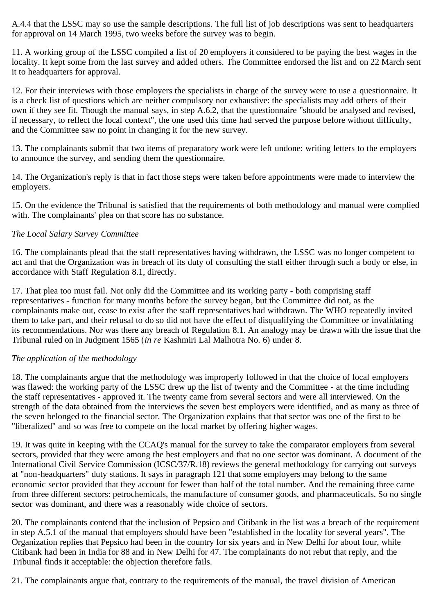A.4.4 that the LSSC may so use the sample descriptions. The full list of job descriptions was sent to headquarters for approval on 14 March 1995, two weeks before the survey was to begin.

11. A working group of the LSSC compiled a list of 20 employers it considered to be paying the best wages in the locality. It kept some from the last survey and added others. The Committee endorsed the list and on 22 March sent it to headquarters for approval.

12. For their interviews with those employers the specialists in charge of the survey were to use a questionnaire. It is a check list of questions which are neither compulsory nor exhaustive: the specialists may add others of their own if they see fit. Though the manual says, in step A.6.2, that the questionnaire "should be analysed and revised, if necessary, to reflect the local context", the one used this time had served the purpose before without difficulty, and the Committee saw no point in changing it for the new survey.

13. The complainants submit that two items of preparatory work were left undone: writing letters to the employers to announce the survey, and sending them the questionnaire.

14. The Organization's reply is that in fact those steps were taken before appointments were made to interview the employers.

15. On the evidence the Tribunal is satisfied that the requirements of both methodology and manual were complied with. The complainants' plea on that score has no substance.

### *The Local Salary Survey Committee*

16. The complainants plead that the staff representatives having withdrawn, the LSSC was no longer competent to act and that the Organization was in breach of its duty of consulting the staff either through such a body or else, in accordance with Staff Regulation 8.1, directly.

17. That plea too must fail. Not only did the Committee and its working party - both comprising staff representatives - function for many months before the survey began, but the Committee did not, as the complainants make out, cease to exist after the staff representatives had withdrawn. The WHO repeatedly invited them to take part, and their refusal to do so did not have the effect of disqualifying the Committee or invalidating its recommendations. Nor was there any breach of Regulation 8.1. An analogy may be drawn with the issue that the Tribunal ruled on in Judgment 1565 (*in re* Kashmiri Lal Malhotra No. 6) under 8.

# *The application of the methodology*

18. The complainants argue that the methodology was improperly followed in that the choice of local employers was flawed: the working party of the LSSC drew up the list of twenty and the Committee - at the time including the staff representatives - approved it. The twenty came from several sectors and were all interviewed. On the strength of the data obtained from the interviews the seven best employers were identified, and as many as three of the seven belonged to the financial sector. The Organization explains that that sector was one of the first to be "liberalized" and so was free to compete on the local market by offering higher wages.

19. It was quite in keeping with the CCAQ's manual for the survey to take the comparator employers from several sectors, provided that they were among the best employers and that no one sector was dominant. A document of the International Civil Service Commission (ICSC/37/R.18) reviews the general methodology for carrying out surveys at "non-headquarters" duty stations. It says in paragraph 121 that some employers may belong to the same economic sector provided that they account for fewer than half of the total number. And the remaining three came from three different sectors: petrochemicals, the manufacture of consumer goods, and pharmaceuticals. So no single sector was dominant, and there was a reasonably wide choice of sectors.

20. The complainants contend that the inclusion of Pepsico and Citibank in the list was a breach of the requirement in step A.5.1 of the manual that employers should have been "established in the locality for several years". The Organization replies that Pepsico had been in the country for six years and in New Delhi for about four, while Citibank had been in India for 88 and in New Delhi for 47. The complainants do not rebut that reply, and the Tribunal finds it acceptable: the objection therefore fails.

21. The complainants argue that, contrary to the requirements of the manual, the travel division of American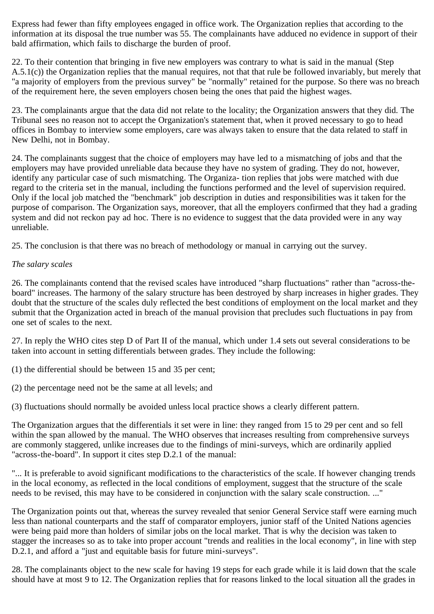Express had fewer than fifty employees engaged in office work. The Organization replies that according to the information at its disposal the true number was 55. The complainants have adduced no evidence in support of their bald affirmation, which fails to discharge the burden of proof.

22. To their contention that bringing in five new employers was contrary to what is said in the manual (Step A.5.1(c)) the Organization replies that the manual requires, not that that rule be followed invariably, but merely that "a majority of employers from the previous survey" be "normally" retained for the purpose. So there was no breach of the requirement here, the seven employers chosen being the ones that paid the highest wages.

23. The complainants argue that the data did not relate to the locality; the Organization answers that they did. The Tribunal sees no reason not to accept the Organization's statement that, when it proved necessary to go to head offices in Bombay to interview some employers, care was always taken to ensure that the data related to staff in New Delhi, not in Bombay.

24. The complainants suggest that the choice of employers may have led to a mismatching of jobs and that the employers may have provided unreliable data because they have no system of grading. They do not, however, identify any particular case of such mismatching. The Organiza- tion replies that jobs were matched with due regard to the criteria set in the manual, including the functions performed and the level of supervision required. Only if the local job matched the "benchmark" job description in duties and responsibilities was it taken for the purpose of comparison. The Organization says, moreover, that all the employers confirmed that they had a grading system and did not reckon pay ad hoc. There is no evidence to suggest that the data provided were in any way unreliable.

25. The conclusion is that there was no breach of methodology or manual in carrying out the survey.

#### *The salary scales*

26. The complainants contend that the revised scales have introduced "sharp fluctuations" rather than "across-theboard" increases. The harmony of the salary structure has been destroyed by sharp increases in higher grades. They doubt that the structure of the scales duly reflected the best conditions of employment on the local market and they submit that the Organization acted in breach of the manual provision that precludes such fluctuations in pay from one set of scales to the next.

27. In reply the WHO cites step D of Part II of the manual, which under 1.4 sets out several considerations to be taken into account in setting differentials between grades. They include the following:

(1) the differential should be between 15 and 35 per cent;

(2) the percentage need not be the same at all levels; and

(3) fluctuations should normally be avoided unless local practice shows a clearly different pattern.

The Organization argues that the differentials it set were in line: they ranged from 15 to 29 per cent and so fell within the span allowed by the manual. The WHO observes that increases resulting from comprehensive surveys are commonly staggered, unlike increases due to the findings of mini-surveys, which are ordinarily applied "across-the-board". In support it cites step D.2.1 of the manual:

"... It is preferable to avoid significant modifications to the characteristics of the scale. If however changing trends in the local economy, as reflected in the local conditions of employment, suggest that the structure of the scale needs to be revised, this may have to be considered in conjunction with the salary scale construction. ..."

The Organization points out that, whereas the survey revealed that senior General Service staff were earning much less than national counterparts and the staff of comparator employers, junior staff of the United Nations agencies were being paid more than holders of similar jobs on the local market. That is why the decision was taken to stagger the increases so as to take into proper account "trends and realities in the local economy", in line with step D.2.1, and afford a "just and equitable basis for future mini-surveys".

28. The complainants object to the new scale for having 19 steps for each grade while it is laid down that the scale should have at most 9 to 12. The Organization replies that for reasons linked to the local situation all the grades in